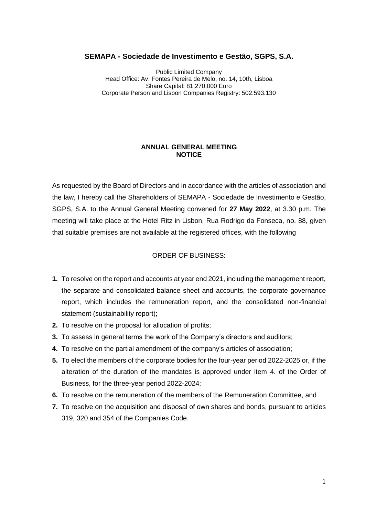#### **SEMAPA - Sociedade de Investimento e Gestão, SGPS, S.A.**

Public Limited Company Head Office: Av. Fontes Pereira de Melo, no. 14, 10th, Lisboa Share Capital: 81,270,000 Euro Corporate Person and Lisbon Companies Registry: 502.593.130

#### **ANNUAL GENERAL MEETING NOTICE**

As requested by the Board of Directors and in accordance with the articles of association and the law, I hereby call the Shareholders of SEMAPA - Sociedade de Investimento e Gestão, SGPS, S.A. to the Annual General Meeting convened for **27 May 2022**, at 3.30 p.m. The meeting will take place at the Hotel Ritz in Lisbon, Rua Rodrigo da Fonseca, no. 88, given that suitable premises are not available at the registered offices, with the following

# ORDER OF BUSINESS:

- **1.** To resolve on the report and accounts at year end 2021, including the management report, the separate and consolidated balance sheet and accounts, the corporate governance report, which includes the remuneration report, and the consolidated non-financial statement (sustainability report);
- **2.** To resolve on the proposal for allocation of profits;
- **3.** To assess in general terms the work of the Company's directors and auditors;
- **4.** To resolve on the partial amendment of the company's articles of association;
- **5.** To elect the members of the corporate bodies for the four-year period 2022-2025 or, if the alteration of the duration of the mandates is approved under item 4. of the Order of Business, for the three-year period 2022-2024;
- **6.** To resolve on the remuneration of the members of the Remuneration Committee, and
- **7.** To resolve on the acquisition and disposal of own shares and bonds, pursuant to articles 319, 320 and 354 of the Companies Code.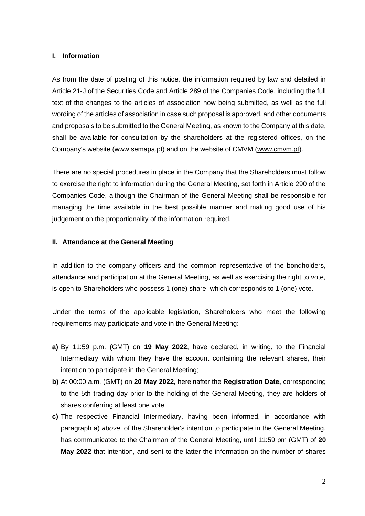# **I. Information**

As from the date of posting of this notice, the information required by law and detailed in Article 21-J of the Securities Code and Article 289 of the Companies Code, including the full text of the changes to the articles of association now being submitted, as well as the full wording of the articles of association in case such proposal is approved, and other documents and proposals to be submitted to the General Meeting, as known to the Company at this date, shall be available for consultation by the shareholders at the registered offices, on the Company's website (www.semapa.pt) and on the website of CMVM [\(www.cmvm.pt\)](http://www.cmvm.pt/).

There are no special procedures in place in the Company that the Shareholders must follow to exercise the right to information during the General Meeting, set forth in Article 290 of the Companies Code, although the Chairman of the General Meeting shall be responsible for managing the time available in the best possible manner and making good use of his judgement on the proportionality of the information required.

## **II. Attendance at the General Meeting**

In addition to the company officers and the common representative of the bondholders, attendance and participation at the General Meeting, as well as exercising the right to vote, is open to Shareholders who possess 1 (one) share, which corresponds to 1 (one) vote.

Under the terms of the applicable legislation, Shareholders who meet the following requirements may participate and vote in the General Meeting:

- **a)** By 11:59 p.m. (GMT) on **19 May 2022**, have declared, in writing, to the Financial Intermediary with whom they have the account containing the relevant shares, their intention to participate in the General Meeting;
- **b)** At 00:00 a.m. (GMT) on **20 May 2022**, hereinafter the **Registration Date,** corresponding to the 5th trading day prior to the holding of the General Meeting, they are holders of shares conferring at least one vote;
- **c)** The respective Financial Intermediary, having been informed, in accordance with paragraph a) *above*, of the Shareholder's intention to participate in the General Meeting, has communicated to the Chairman of the General Meeting, until 11:59 pm (GMT) of **20 May 2022** that intention, and sent to the latter the information on the number of shares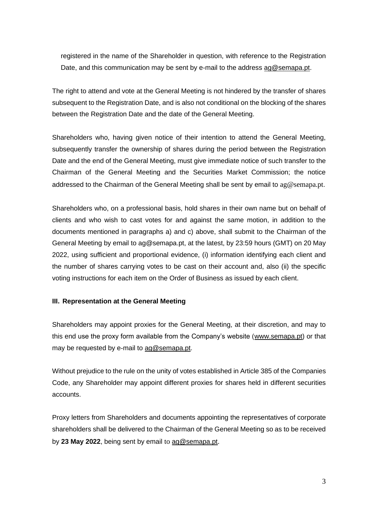registered in the name of the Shareholder in question, with reference to the Registration Date, and this communication may be sent by e-mail to the address [ag@semapa.pt.](mailto:ag@semapa.pt)

The right to attend and vote at the General Meeting is not hindered by the transfer of shares subsequent to the Registration Date, and is also not conditional on the blocking of the shares between the Registration Date and the date of the General Meeting.

Shareholders who, having given notice of their intention to attend the General Meeting, subsequently transfer the ownership of shares during the period between the Registration Date and the end of the General Meeting, must give immediate notice of such transfer to the Chairman of the General Meeting and the Securities Market Commission; the notice addressed to the Chairman of the General Meeting shall be sent by email to [ag@semapa.pt](mailto:ag2017@semapa.pt).

Shareholders who, on a professional basis, hold shares in their own name but on behalf of clients and who wish to cast votes for and against the same motion, in addition to the documents mentioned in paragraphs a) and c) above, shall submit to the Chairman of the General Meeting by email to ag@semapa.pt, at the latest, by 23:59 hours (GMT) on 20 May 2022, using sufficient and proportional evidence, (i) information identifying each client and the number of shares carrying votes to be cast on their account and, also (ii) the specific voting instructions for each item on the Order of Business as issued by each client.

## **III. Representation at the General Meeting**

Shareholders may appoint proxies for the General Meeting, at their discretion, and may to this end use the proxy form available from the Company's website [\(www.semapa.pt\)](http://www.semapa.pt/en/home) or that may be requested by e-mail to [ag@semapa.pt.](mailto:ag2017@semapa.pt)

Without prejudice to the rule on the unity of votes established in Article 385 of the Companies Code, any Shareholder may appoint different proxies for shares held in different securities accounts.

Proxy letters from Shareholders and documents appointing the representatives of corporate shareholders shall be delivered to the Chairman of the General Meeting so as to be received by **23 May 2022**, being sent by email to [ag@semapa.pt](mailto:ag2017@semapa.pt).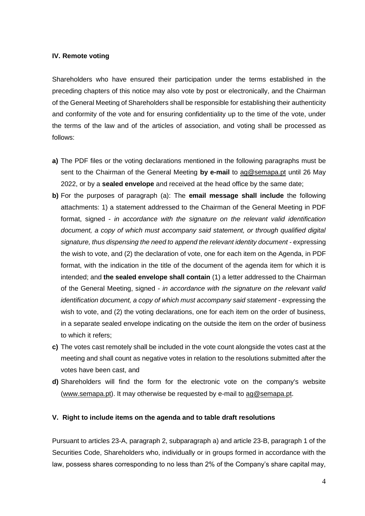### **IV. Remote voting**

Shareholders who have ensured their participation under the terms established in the preceding chapters of this notice may also vote by post or electronically, and the Chairman of the General Meeting of Shareholders shall be responsible for establishing their authenticity and conformity of the vote and for ensuring confidentiality up to the time of the vote, under the terms of the law and of the articles of association, and voting shall be processed as follows:

- **a)** The PDF files or the voting declarations mentioned in the following paragraphs must be sent to the Chairman of the General Meeting **by e-mail** to [ag@semapa.pt](mailto:ag2017@semapa.pt) until 26 May 2022, or by a **sealed envelope** and received at the head office by the same date;
- **b)** For the purposes of paragraph (a): The **email message shall include** the following attachments: 1) a statement addressed to the Chairman of the General Meeting in PDF format, signed - *in accordance with the signature on the relevant valid identification document, a copy of which must accompany said statement, or through qualified digital signature, thus dispensing the need to append the relevant identity document* - expressing the wish to vote, and (2) the declaration of vote, one for each item on the Agenda, in PDF format, with the indication in the title of the document of the agenda item for which it is intended; and **the sealed envelope shall contain** (1) a letter addressed to the Chairman of the General Meeting, signed - *in accordance with the signature on the relevant valid identification document, a copy of which must accompany said statement* - expressing the wish to vote, and (2) the voting declarations, one for each item on the order of business, in a separate sealed envelope indicating on the outside the item on the order of business to which it refers;
- **c)** The votes cast remotely shall be included in the vote count alongside the votes cast at the meeting and shall count as negative votes in relation to the resolutions submitted after the votes have been cast, and
- **d)** Shareholders will find the form for the electronic vote on the company's website [\(www.semapa.pt\)](http://www.semapa.pt/en/home). It may otherwise be requested by e-mail to [ag@semapa.pt](mailto:ag2017@semapa.pt).

#### **V. Right to include items on the agenda and to table draft resolutions**

Pursuant to articles 23-A, paragraph 2, subparagraph a) and article 23-B, paragraph 1 of the Securities Code, Shareholders who, individually or in groups formed in accordance with the law, possess shares corresponding to no less than 2% of the Company's share capital may,